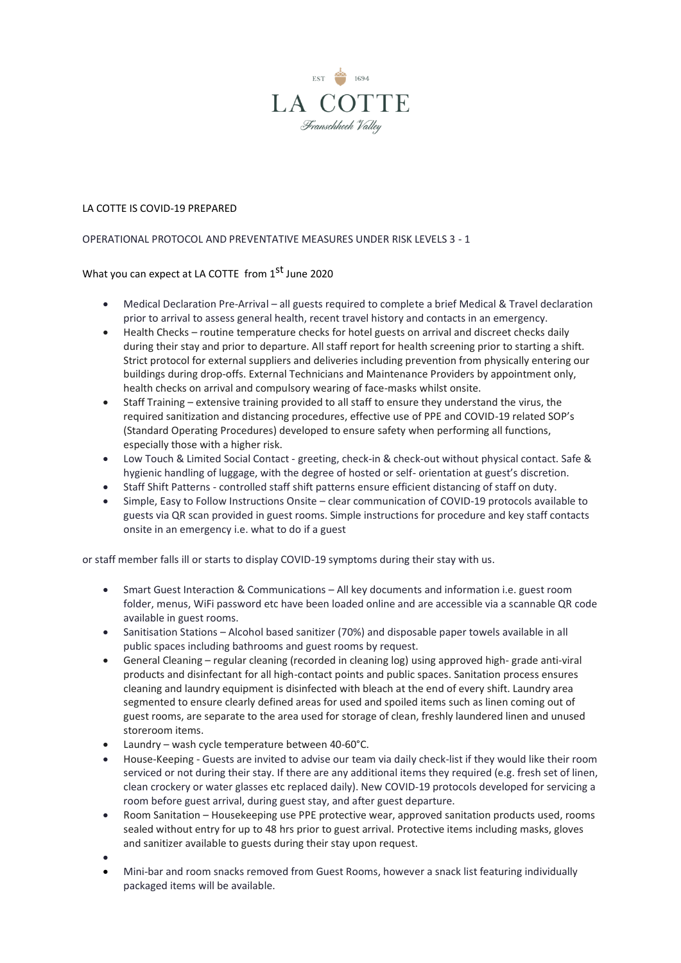

## LA COTTE IS COVID-19 PREPARED

## OPERATIONAL PROTOCOL AND PREVENTATIVE MEASURES UNDER RISK LEVELS 3 - 1

## What you can expect at LA COTTE from 1<sup>st</sup> June 2020

- Medical Declaration Pre-Arrival all guests required to complete a brief Medical & Travel declaration prior to arrival to assess general health, recent travel history and contacts in an emergency.
- Health Checks routine temperature checks for hotel guests on arrival and discreet checks daily during their stay and prior to departure. All staff report for health screening prior to starting a shift. Strict protocol for external suppliers and deliveries including prevention from physically entering our buildings during drop-offs. External Technicians and Maintenance Providers by appointment only, health checks on arrival and compulsory wearing of face-masks whilst onsite.
- Staff Training extensive training provided to all staff to ensure they understand the virus, the required sanitization and distancing procedures, effective use of PPE and COVID-19 related SOP's (Standard Operating Procedures) developed to ensure safety when performing all functions, especially those with a higher risk.
- Low Touch & Limited Social Contact greeting, check-in & check-out without physical contact. Safe & hygienic handling of luggage, with the degree of hosted or self- orientation at guest's discretion.
- Staff Shift Patterns controlled staff shift patterns ensure efficient distancing of staff on duty.
- Simple, Easy to Follow Instructions Onsite clear communication of COVID-19 protocols available to guests via QR scan provided in guest rooms. Simple instructions for procedure and key staff contacts onsite in an emergency i.e. what to do if a guest

or staff member falls ill or starts to display COVID-19 symptoms during their stay with us.

- Smart Guest Interaction & Communications All key documents and information i.e. guest room folder, menus, WiFi password etc have been loaded online and are accessible via a scannable QR code available in guest rooms.
- Sanitisation Stations Alcohol based sanitizer (70%) and disposable paper towels available in all public spaces including bathrooms and guest rooms by request.
- General Cleaning regular cleaning (recorded in cleaning log) using approved high- grade anti-viral products and disinfectant for all high-contact points and public spaces. Sanitation process ensures cleaning and laundry equipment is disinfected with bleach at the end of every shift. Laundry area segmented to ensure clearly defined areas for used and spoiled items such as linen coming out of guest rooms, are separate to the area used for storage of clean, freshly laundered linen and unused storeroom items.
- Laundry wash cycle temperature between 40-60°C.
- House-Keeping Guests are invited to advise our team via daily check-list if they would like their room serviced or not during their stay. If there are any additional items they required (e.g. fresh set of linen, clean crockery or water glasses etc replaced daily). New COVID-19 protocols developed for servicing a room before guest arrival, during guest stay, and after guest departure.
- Room Sanitation Housekeeping use PPE protective wear, approved sanitation products used, rooms sealed without entry for up to 48 hrs prior to guest arrival. Protective items including masks, gloves and sanitizer available to guests during their stay upon request.
- •
- Mini-bar and room snacks removed from Guest Rooms, however a snack list featuring individually packaged items will be available.